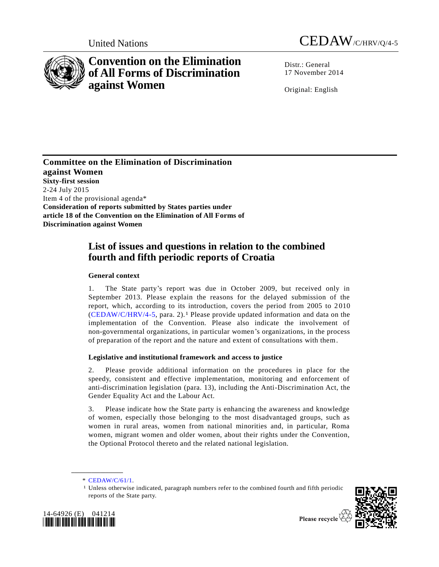

# **Convention on the Elimination of All Forms of Discrimination against Women**



Distr.: General 17 November 2014

Original: English

**Committee on the Elimination of Discrimination against Women Sixty-first session**  2-24 July 2015 Item 4 of the provisional agenda\* **Consideration of reports submitted by States parties under article 18 of the Convention on the Elimination of All Forms of Discrimination against Women**

## **List of issues and questions in relation to the combined fourth and fifth periodic reports of Croatia**

## **General context**

1. The State party's report was due in October 2009, but received only in September 2013. Please explain the reasons for the delayed submission of the report, which, according to its introduction, covers the period from 2005 to 2 010 [\(CEDAW/C/HRV/4-5,](http://undocs.org/CEDAW/C/HRV/4) para. 2).1 Please provide updated information and data on the implementation of the Convention. Please also indicate the involvement of non-governmental organizations, in particular women's organizations, in the process of preparation of the report and the nature and extent of consultations with them.

## **Legislative and institutional framework and access to justice**

2. Please provide additional information on the procedures in place for the speedy, consistent and effective implementation, monitoring and enforcement of anti-discrimination legislation (para. 13), including the Anti-Discrimination Act, the Gender Equality Act and the Labour Act.

3. Please indicate how the State party is enhancing the awareness and knowledge of women, especially those belonging to the most disadvantaged groups, such as women in rural areas, women from national minorities and, in particular, Roma women, migrant women and older women, about their rights under the Convention, the Optional Protocol thereto and the related national legislation.

\* [CEDAW/C/61/1.](http://undocs.org/CEDAW/C/61/1)

**\_\_\_\_\_\_\_\_\_\_\_\_\_\_\_\_\_\_**

<sup>1</sup> Unless otherwise indicated, paragraph numbers refer to the combined fourth and fifth periodic reports of the State party.



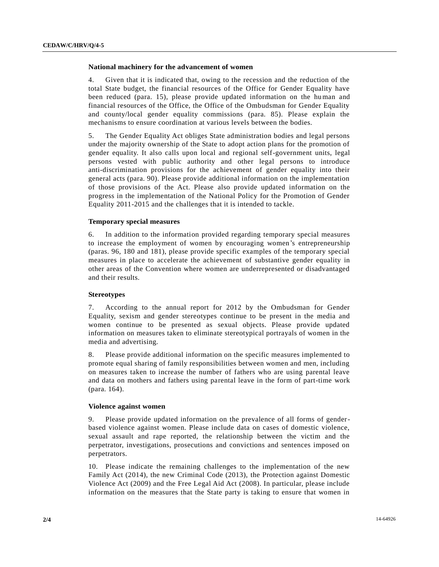#### **National machinery for the advancement of women**

4. Given that it is indicated that, owing to the recession and the reduction of the total State budget, the financial resources of the Office for Gender Equality have been reduced (para. 15), please provide updated information on the human and financial resources of the Office, the Office of the Ombudsman for Gender Equality and county/local gender equality commissions (para. 85). Please explain the mechanisms to ensure coordination at various levels between the bodies.

5. The Gender Equality Act obliges State administration bodies and legal persons under the majority ownership of the State to adopt action plans for the promotion of gender equality. It also calls upon local and regional self-government units, legal persons vested with public authority and other legal persons to introduce anti-discrimination provisions for the achievement of gender equality into their general acts (para. 90). Please provide additional information on the implementation of those provisions of the Act. Please also provide updated information on the progress in the implementation of the National Policy for the Promotion of Gender Equality 2011-2015 and the challenges that it is intended to tackle.

#### **Temporary special measures**

6. In addition to the information provided regarding temporary special measures to increase the employment of women by encouraging women's entrepreneurship (paras. 96, 180 and 181), please provide specific examples of the temporary special measures in place to accelerate the achievement of substantive gender equality in other areas of the Convention where women are underrepresented or disadvantaged and their results.

#### **Stereotypes**

7. According to the annual report for 2012 by the Ombudsman for Gender Equality, sexism and gender stereotypes continue to be present in the media and women continue to be presented as sexual objects. Please provide updated information on measures taken to eliminate stereotypical portrayals of women in the media and advertising.

8. Please provide additional information on the specific measures implemented to promote equal sharing of family responsibilities between women and men, including on measures taken to increase the number of fathers who are using parental leave and data on mothers and fathers using parental leave in the form of part-time work (para. 164).

#### **Violence against women**

9. Please provide updated information on the prevalence of all forms of genderbased violence against women. Please include data on cases of domestic violence, sexual assault and rape reported, the relationship between the victim and the perpetrator, investigations, prosecutions and convictions and sentences imposed on perpetrators.

10. Please indicate the remaining challenges to the implementation of the new Family Act (2014), the new Criminal Code (2013), the Protection against Domestic Violence Act (2009) and the Free Legal Aid Act (2008). In particular, please include information on the measures that the State party is taking to ensure that women in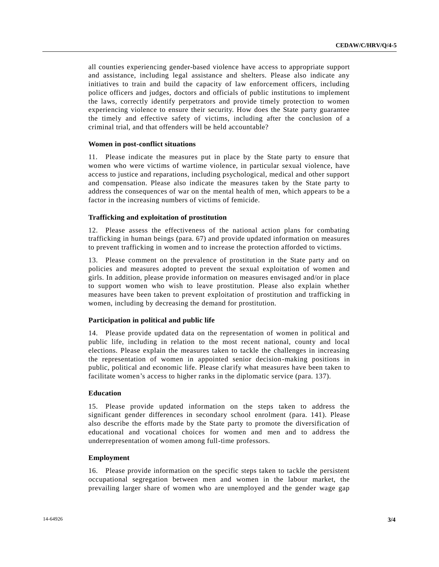all counties experiencing gender-based violence have access to appropriate support and assistance, including legal assistance and shelters. Please also indicate any initiatives to train and build the capacity of law enforcement officers, including police officers and judges, doctors and officials of public institutions to implement the laws, correctly identify perpetrators and provide timely protection to women experiencing violence to ensure their security. How does the State party guarantee the timely and effective safety of victims, including after the conclusion of a criminal trial, and that offenders will be held accountable?

#### **Women in post-conflict situations**

11. Please indicate the measures put in place by the State party to ensure that women who were victims of wartime violence, in particular sexual violence, have access to justice and reparations, including psychological, medical and other support and compensation. Please also indicate the measures taken by the State party to address the consequences of war on the mental health of men, which appears to be a factor in the increasing numbers of victims of femicide.

#### **Trafficking and exploitation of prostitution**

12. Please assess the effectiveness of the national action plans for combating trafficking in human beings (para. 67) and provide updated information on measures to prevent trafficking in women and to increase the protection afforded to victims.

13. Please comment on the prevalence of prostitution in the State party and on policies and measures adopted to prevent the sexual exploitation of women and girls. In addition, please provide information on measures envisaged and/or in place to support women who wish to leave prostitution. Please also explain whether measures have been taken to prevent exploitation of prostitution and trafficking in women, including by decreasing the demand for prostitution.

#### **Participation in political and public life**

14. Please provide updated data on the representation of women in political and public life, including in relation to the most recent national, county and local elections. Please explain the measures taken to tackle the challenges in increasing the representation of women in appointed senior decision-making positions in public, political and economic life. Please clarify what measures have been taken to facilitate women's access to higher ranks in the diplomatic service (para. 137).

#### **Education**

15. Please provide updated information on the steps taken to address the significant gender differences in secondary school enrolment (para. 141). Please also describe the efforts made by the State party to promote the diversification of educational and vocational choices for women and men and to address the underrepresentation of women among full-time professors.

#### **Employment**

16. Please provide information on the specific steps taken to tackle the persistent occupational segregation between men and women in the labour market, the prevailing larger share of women who are unemployed and the gender wage gap